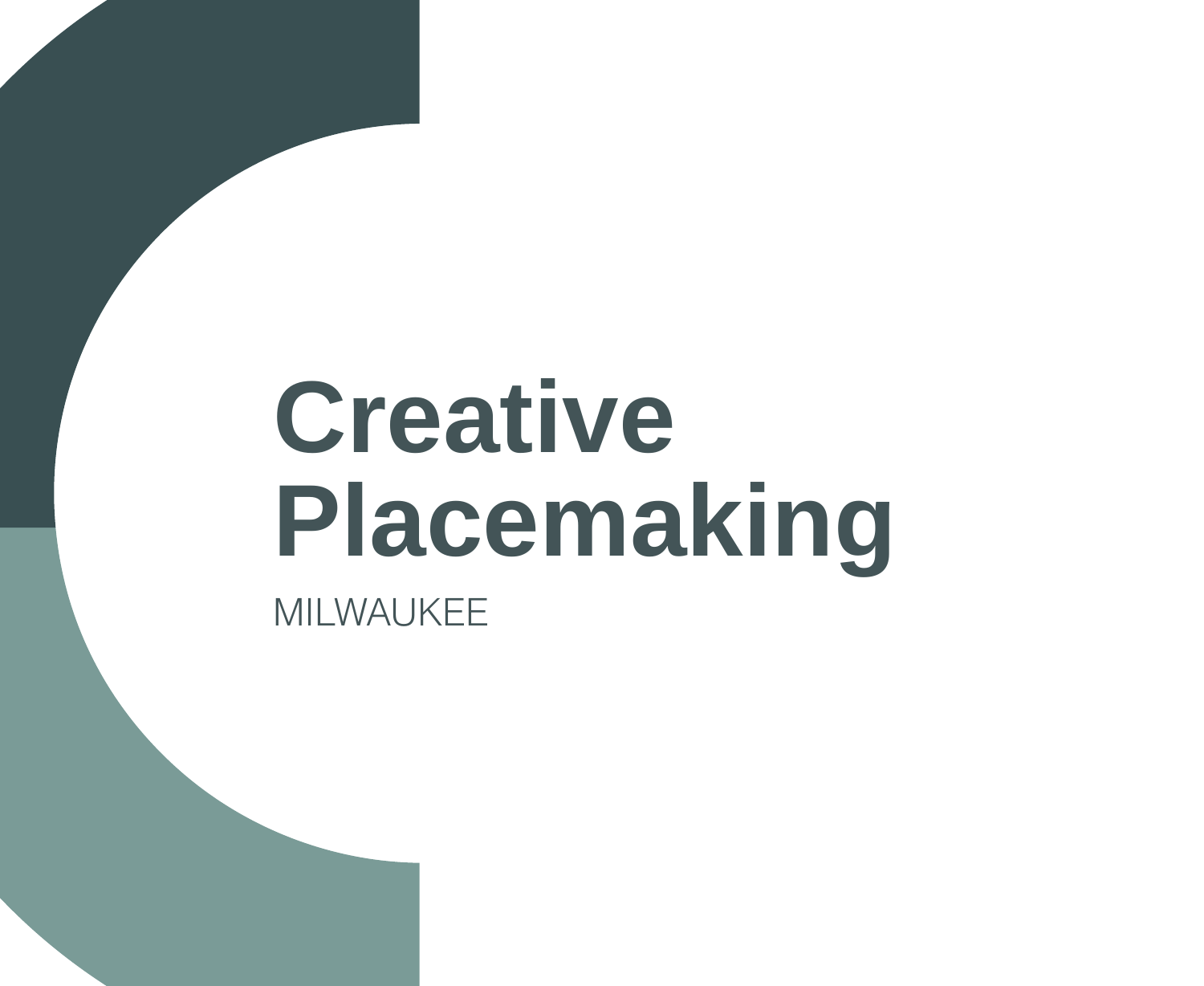# **Creative Placemaking**

MILWAUKEE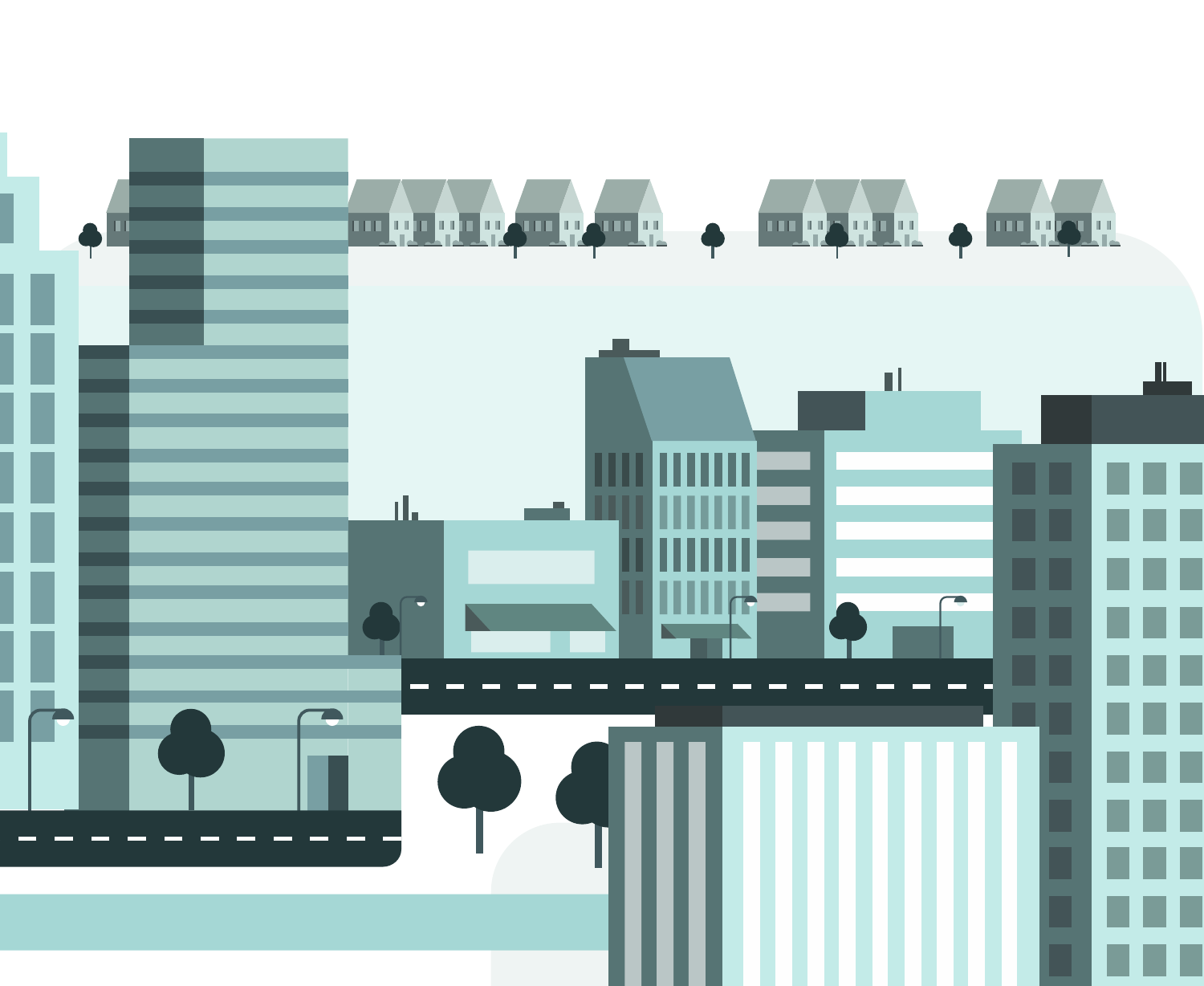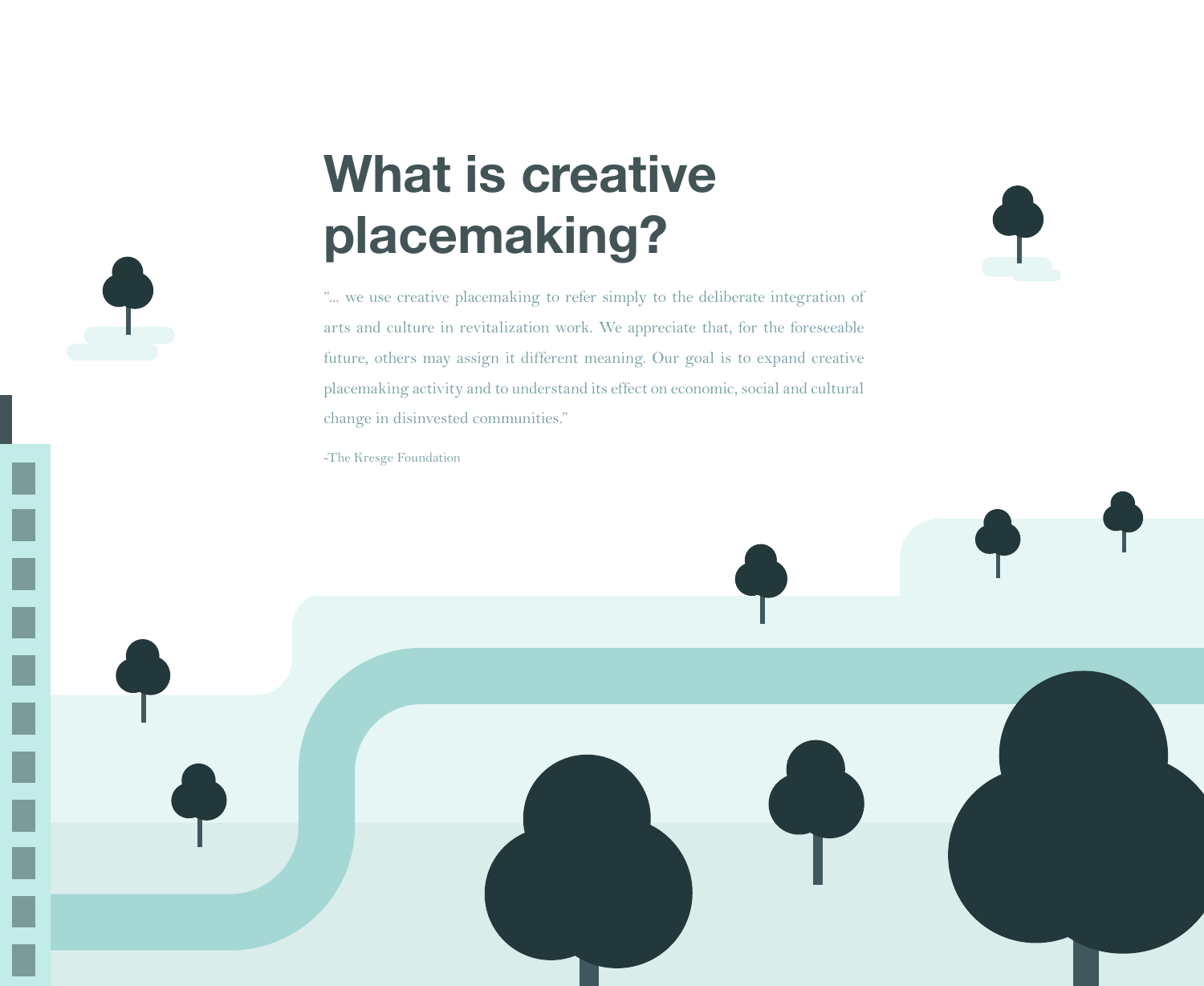#### **What is creative placemaking?**

"... we use creative placemaking to refer simply to the deliberate integration of arts and culture in revitalization work. We appreciate that, for the foreseeable future, others may assign it different meaning. Our goal is to expand creative placemaking activity and to understand its effect on economic, social and cultural change in disinvested communities."

-The Kresge Foundation

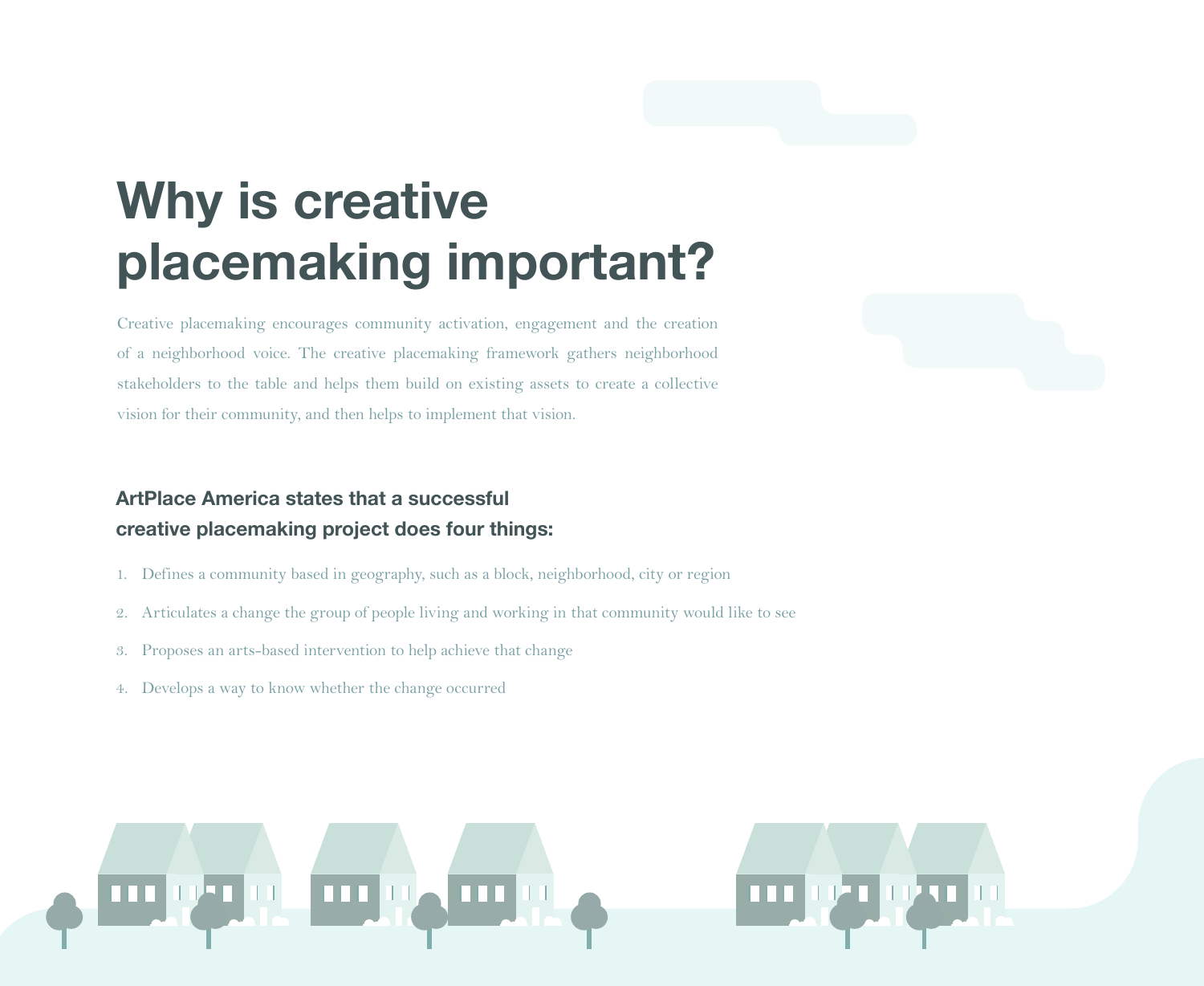## **Why is creative placemaking important?**

Creative placemaking encourages community activation, engagement and the creation of a neighborhood voice. The creative placemaking framework gathers neighborhood stakeholders to the table and helps them build on existing assets to create a collective vision for their community, and then helps to implement that vision.

#### **ArtPlace America states that a successful creative placemaking project does four things:**

- 1. Defines a community based in geography, such as a block, neighborhood, city or region
- 2. Articulates a change the group of people living and working in that community would like to see
- 3. Proposes an arts-based intervention to help achieve that change
- 4. Develops a way to know whether the change occurred





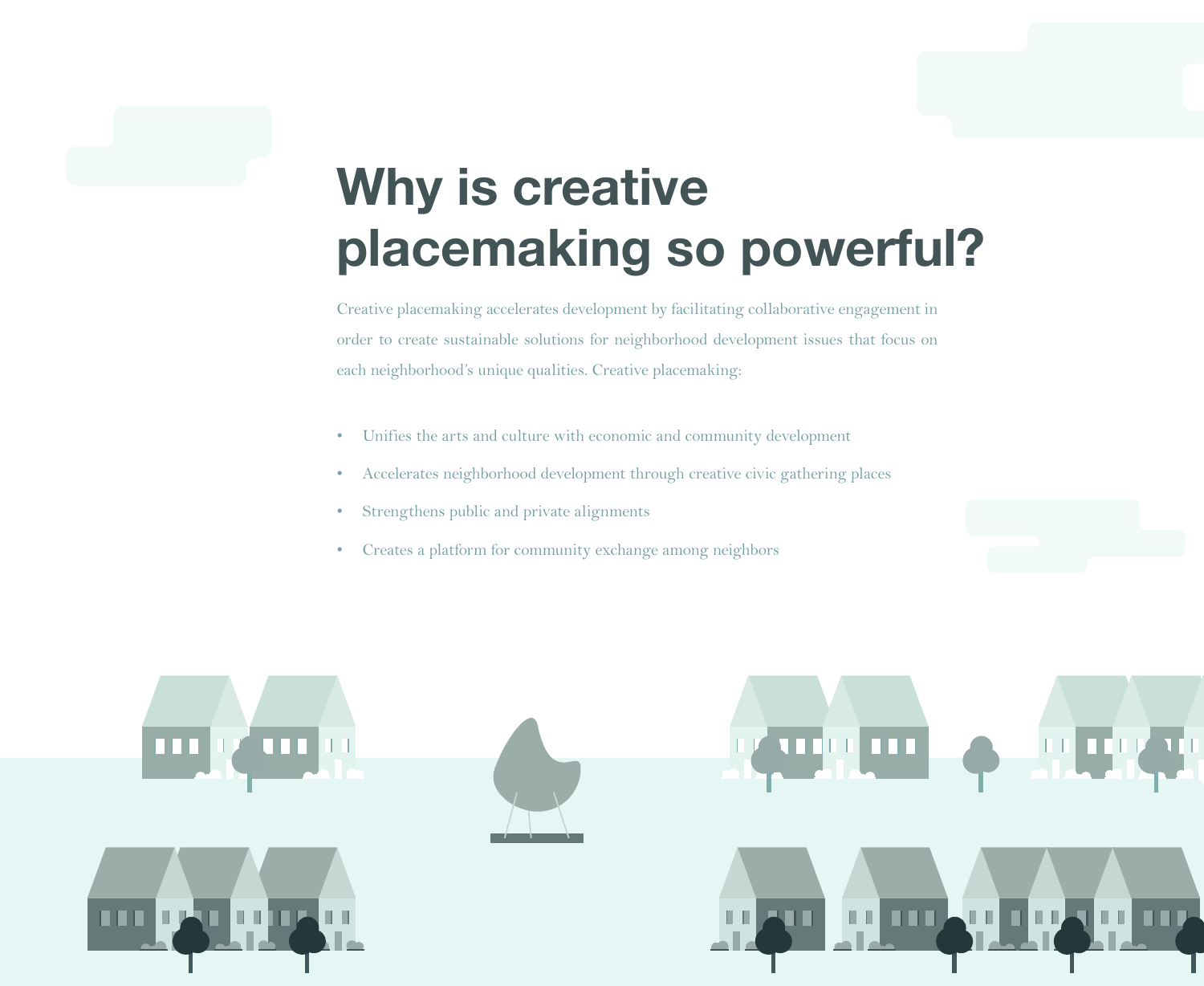## **Why is creative placemaking so powerful?**

Creative placemaking accelerates development by facilitating collaborative engagement in order to create sustainable solutions for neighborhood development issues that focus on each neighborhood's unique qualities. Creative placemaking:

- Unifies the arts and culture with economic and community development
- Accelerates neighborhood development through creative civic gathering places
- Strengthens public and private alignments
- Creates a platform for community exchange among neighbors

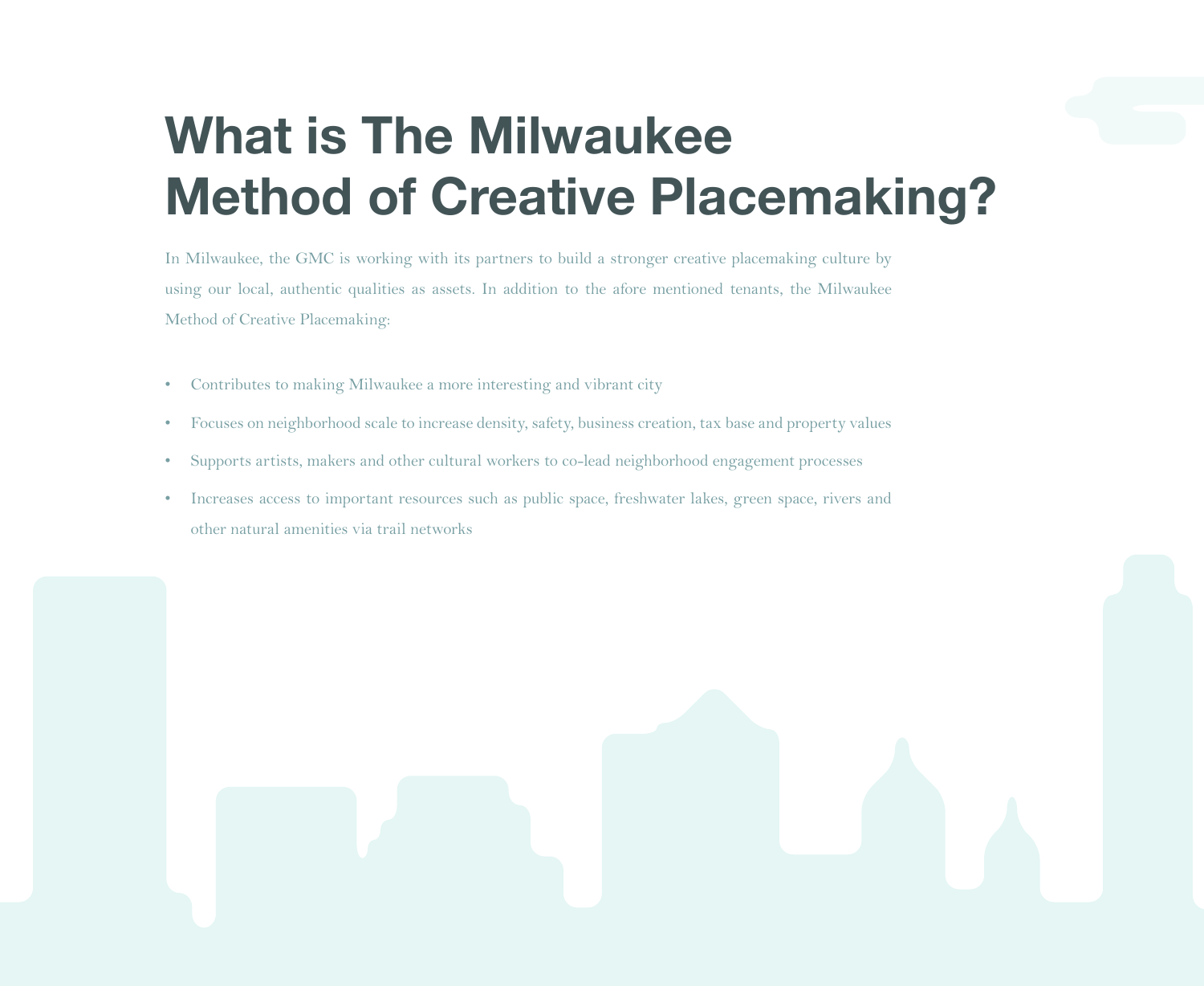#### **What is The Milwaukee Method of Creative Placemaking?**

In Milwaukee, the GMC is working with its partners to build a stronger creative placemaking culture by using our local, authentic qualities as assets. In addition to the afore mentioned tenants, the Milwaukee Method of Creative Placemaking:

- Contributes to making Milwaukee a more interesting and vibrant city
- Focuses on neighborhood scale to increase density, safety, business creation, tax base and property values
- Supports artists, makers and other cultural workers to co-lead neighborhood engagement processes
- Increases access to important resources such as public space, freshwater lakes, green space, rivers and other natural amenities via trail networks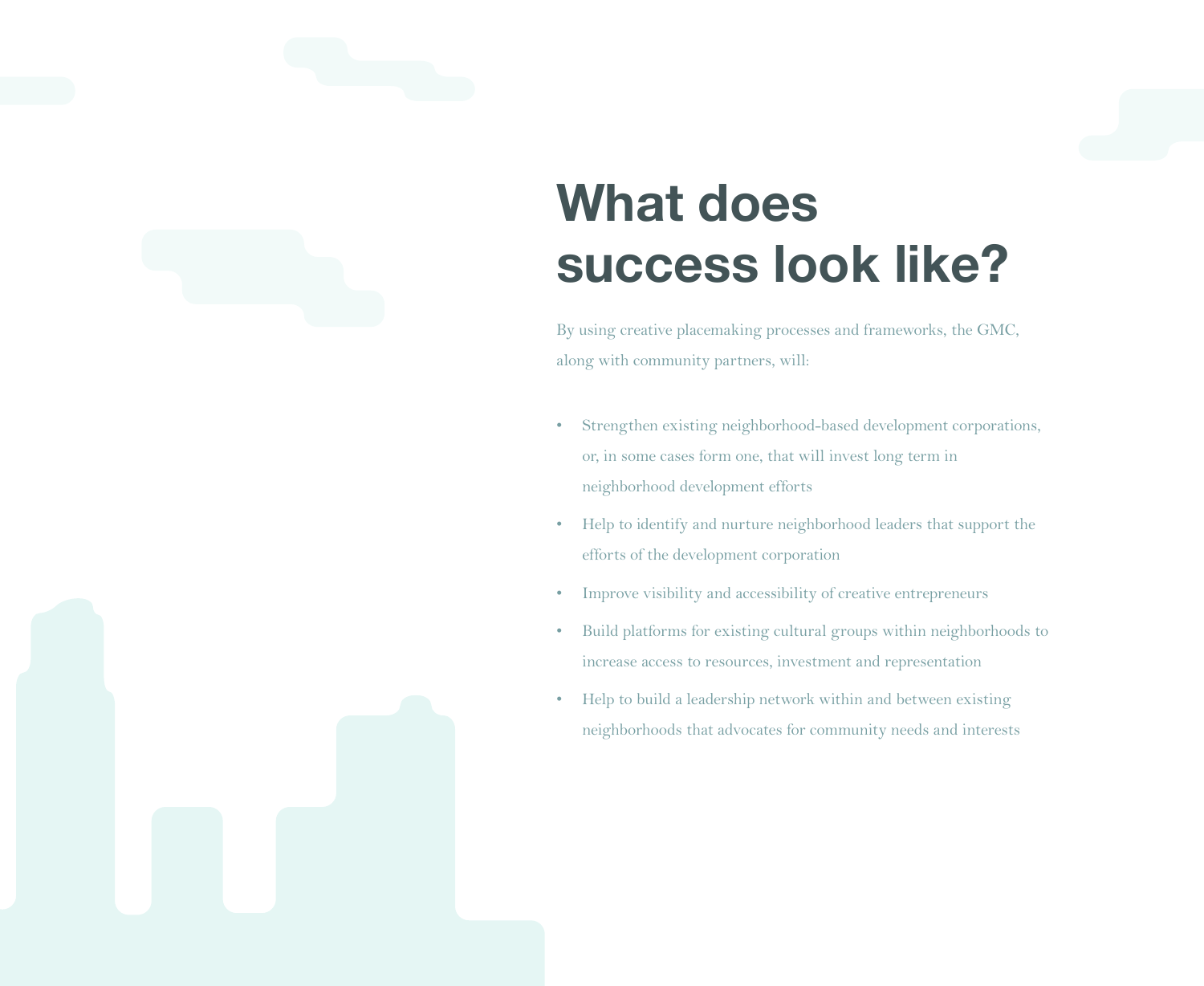#### **What does success look like?**

By using creative placemaking processes and frameworks, the GMC, along with community partners, will:

- Strengthen existing neighborhood-based development corporations, or, in some cases form one, that will invest long term in neighborhood development efforts
- Help to identify and nurture neighborhood leaders that support the efforts of the development corporation
- Improve visibility and accessibility of creative entrepreneurs
- Build platforms for existing cultural groups within neighborhoods to increase access to resources, investment and representation
- Help to build a leadership network within and between existing neighborhoods that advocates for community needs and interests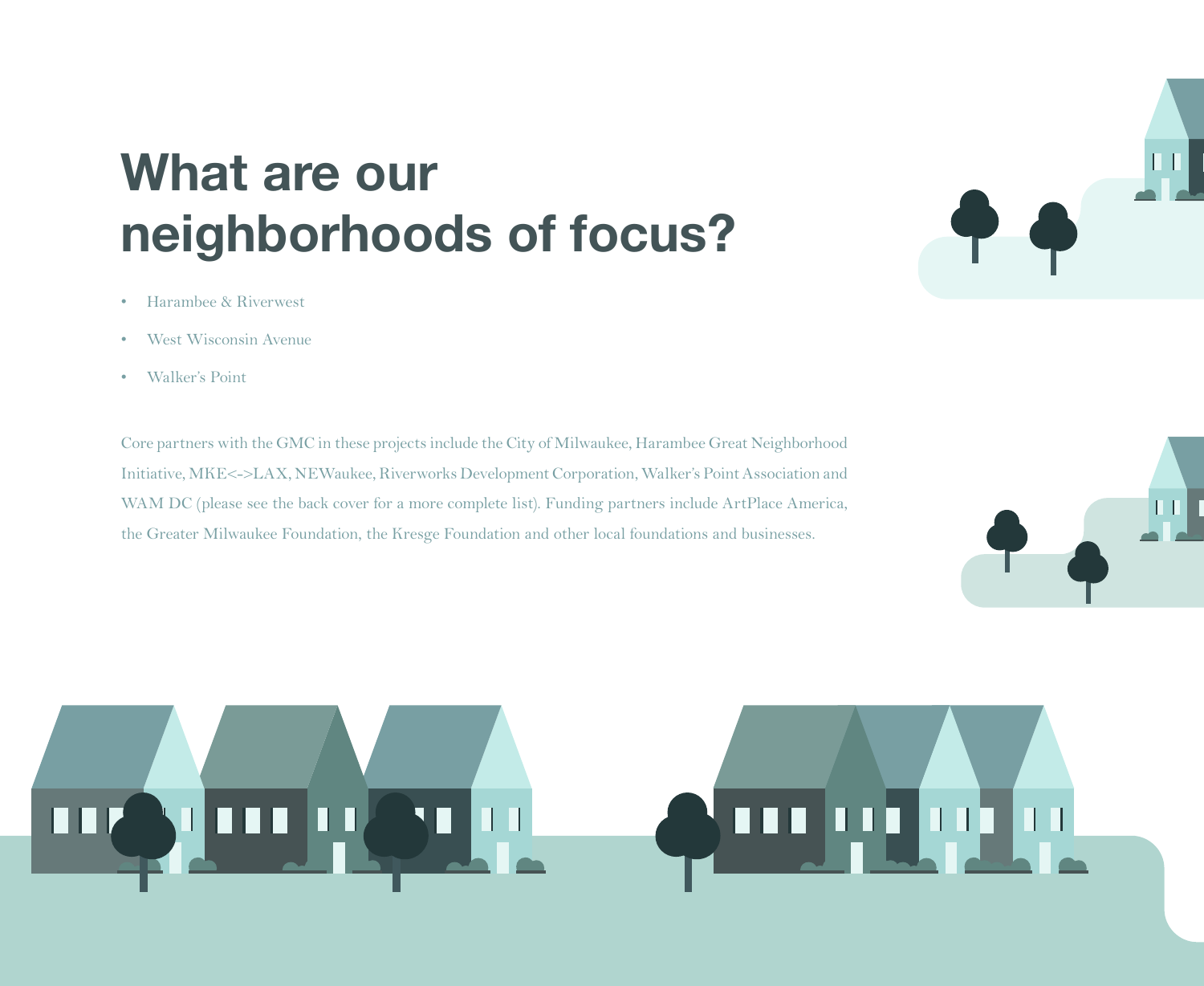## **What are our neighborhoods of focus?**

- Harambee & Riverwest
- West Wisconsin Avenue
- Walker's Point

Core partners with the GMC in these projects include the City of Milwaukee, Harambee Great Neighborhood Initiative, MKE<->LAX, NEWaukee, Riverworks Development Corporation, Walker's Point Association and WAM DC (please see the back cover for a more complete list). Funding partners include ArtPlace America, the Greater Milwaukee Foundation, the Kresge Foundation and other local foundations and businesses.



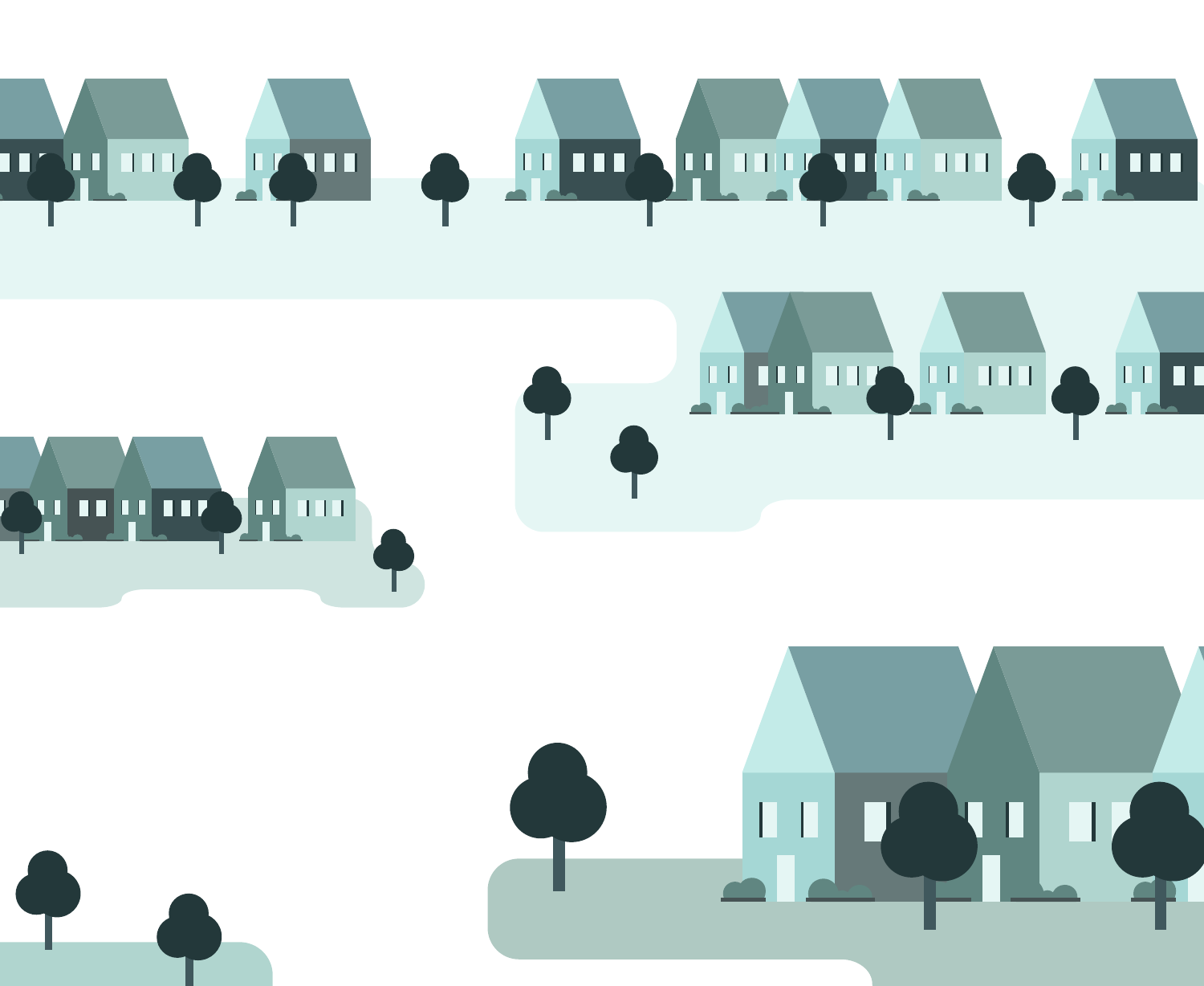

## tu u ur **THE THEFT**



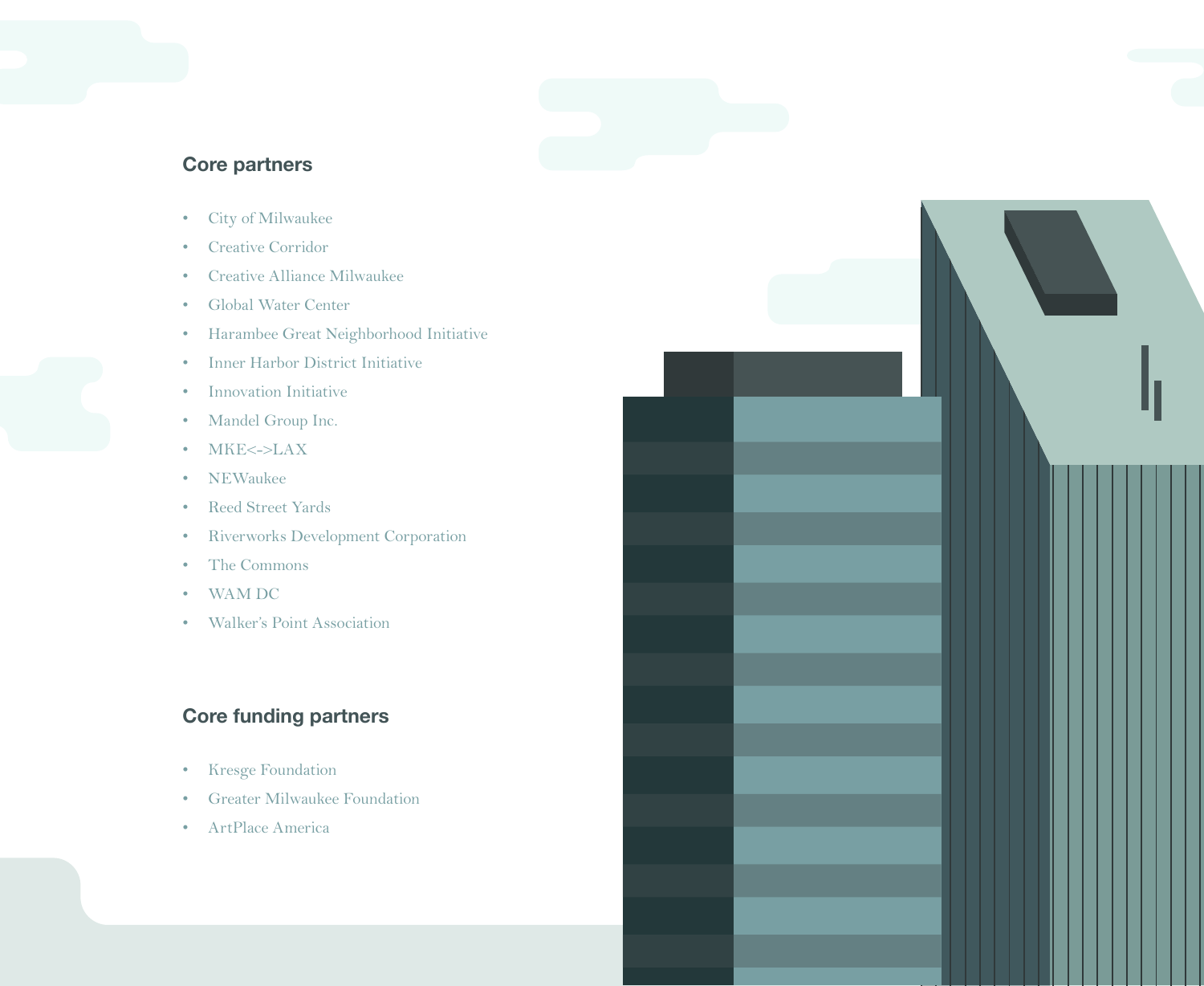#### **Core partners**

- City of Milwaukee
- Creative Corridor
- Creative Alliance Milwaukee
- Global Water Center
- Harambee Great Neighborhood Initiative
- Inner Harbor District Initiative
- Innovation Initiative
- Mandel Group Inc.
- MKE<->LAX
- NEWaukee
- Reed Street Yards
- Riverworks Development Corporation
- The Commons
- WAM DC
- Walker's Point Association

#### **Core funding partners**

- Kresge Foundation
- Greater Milwaukee Foundation
- ArtPlace America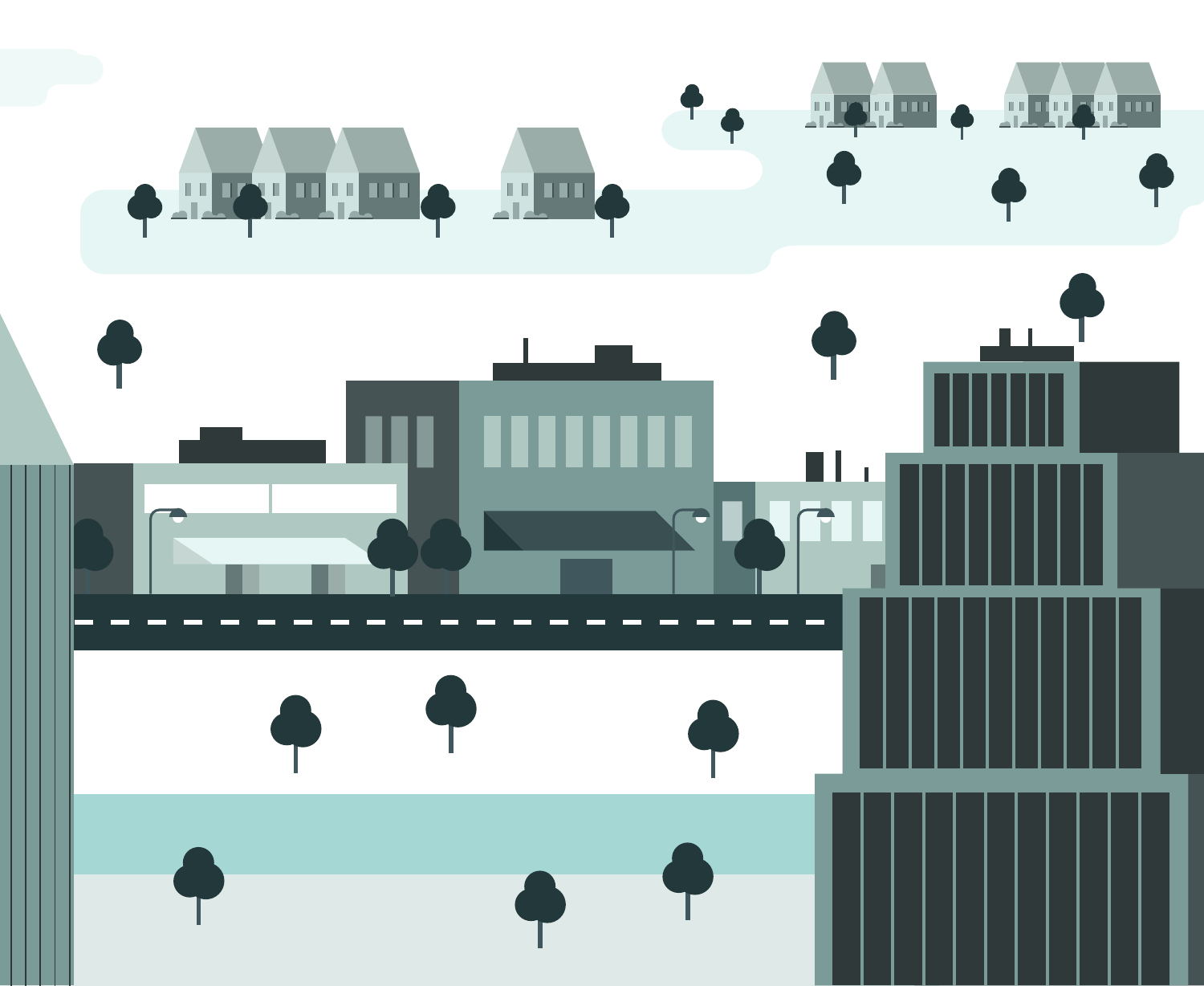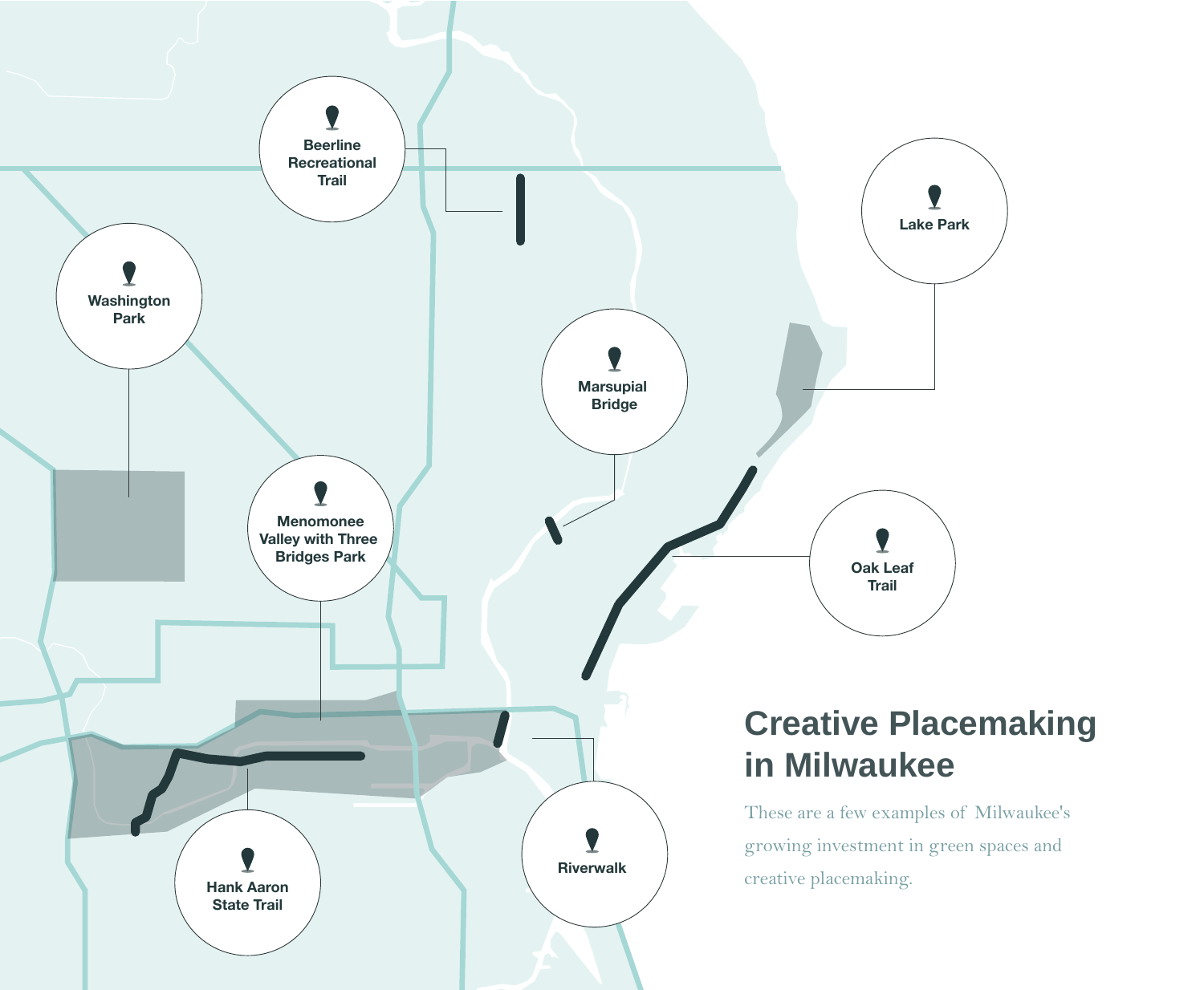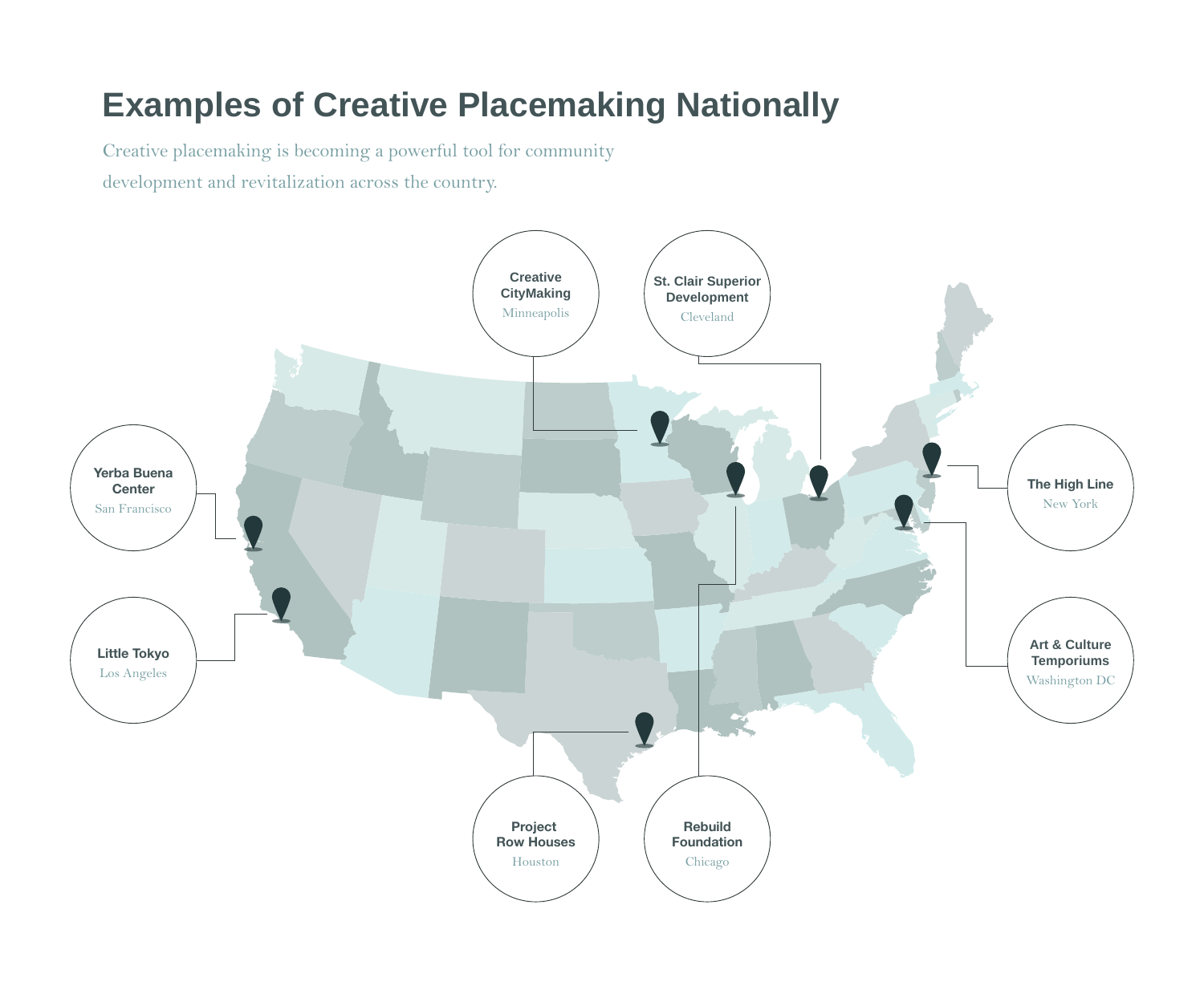#### **Examples of Creative Placemaking Nationally**

Creative placemaking is becoming a powerful tool for community

development and revitalization across the country.